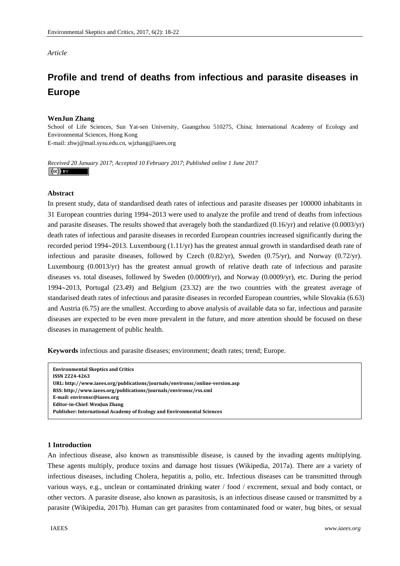# *Article*

# **Profile and trend of deaths from infectious and parasite diseases in Europe**

# **WenJun Zhang**

School of Life Sciences, Sun Yat-sen University, Guangzhou 510275, China; International Academy of Ecology and Environmental Sciences, Hong Kong E-mail: zhwj@mail.sysu.edu.cn, wjzhang@iaees.org

*Received 20 January 2017*; *Accepted 10 February 2017*; *Published online 1 June 2017*   $\left(\mathrm{cc}\right)$  BY

## **Abstract**

In present study, data of standardised death rates of infectious and parasite diseases per 100000 inhabitants in 31 European countries during 1994~2013 were used to analyze the profile and trend of deaths from infectious and parasite diseases. The results showed that averagely both the standardized (0.16/yr) and relative (0.0003/yr) death rates of infectious and parasite diseases in recorded European countries increased significantly during the recorded period 1994 $\sim$ 2013. Luxembourg (1.11/yr) has the greatest annual growth in standardised death rate of infectious and parasite diseases, followed by Czech (0.82/yr), Sweden (0.75/yr), and Norway (0.72/yr). Luxembourg (0.0013/yr) has the greatest annual growth of relative death rate of infectious and parasite diseases vs. total diseases, followed by Sweden (0.0009/yr), and Norway (0.0009/yr), etc. During the period 19942013, Portugal (23.49) and Belgium (23.32) are the two countries with the greatest average of standarised death rates of infectious and parasite diseases in recorded European countries, while Slovakia (6.63) and Austria (6.75) are the smallest. According to above analysis of available data so far, infectious and parasite diseases are expected to be even more prevalent in the future, and more attention should be focused on these diseases in management of public health.

**Keywords** infectious and parasite diseases; environment; death rates; trend; Europe.

```
Environmental Skeptics and Critics   
ISSN 22244263
URL: http://www.iaees.org/publications/journals/environsc/onlineversion.asp
RSS: http://www.iaees.org/publications/journals/environsc/rss.xml
Email: environsc@iaees.org
EditorinChief: WenJun Zhang
Publisher: International Academy of Ecology and Environmental Sciences
```
# **1 Introduction**

An infectious disease, also known as transmissible disease, is caused by the invading agents multiplying. These agents multiply, produce toxins and damage host tissues (Wikipedia, 2017a). There are a variety of infectious diseases, including Cholera, hepatitis a, polio, etc. Infectious diseases can be transmitted through various ways, e.g., unclean or contaminated drinking water / food / excrement, sexual and body contact, or other vectors. A parasite disease, also known as parasitosis, is an infectious disease caused or transmitted by a parasite (Wikipedia, 2017b). Human can get parasites from contaminated food or water, bug bites, or sexual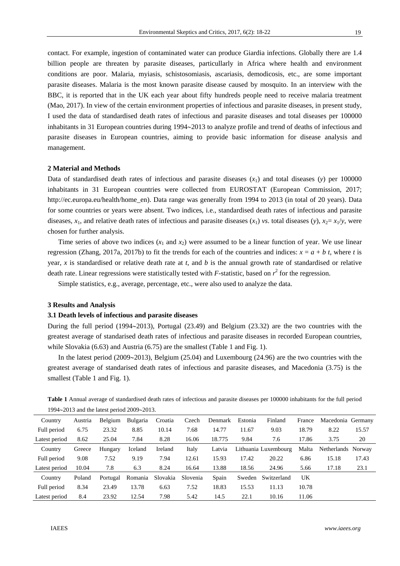contact. For example, ingestion of contaminated water can produce Giardia infections. Globally there are 1.4 billion people are threaten by parasite diseases, particullarly in Africa where health and environment conditions are poor. Malaria, myiasis, schistosomiasis, ascariasis, demodicosis, etc., are some important parasite diseases. Malaria is the most known parasite disease caused by mosquito. In an interview with the BBC, it is reported that in the UK each year about fifty hundreds people need to receive malaria treatment (Mao, 2017). In view of the certain environment properties of infectious and parasite diseases, in present study, I used the data of standardised death rates of infectious and parasite diseases and total diseases per 100000 inhabitants in 31 European countries during 1994~2013 to analyze profile and trend of deaths of infectious and parasite diseases in European countries, aiming to provide basic information for disease analysis and management.

# **2 Material and Methods**

Data of standardised death rates of infectious and parasite diseases  $(x_1)$  and total diseases  $(y)$  per 100000 inhabitants in 31 European countries were collected from EUROSTAT (European Commission, 2017; http://ec.europa.eu/health/home\_en). Data range was generally from 1994 to 2013 (in total of 20 years). Data for some countries or years were absent. Two indices, i.e., standardised death rates of infectious and parasite diseases,  $x_1$ , and relative death rates of infectious and parasite diseases  $(x_1)$  *vs*. total diseases  $(y)$ ,  $x_2 = x_1/y$ , were chosen for further analysis.

Time series of above two indices  $(x_1 \text{ and } x_2)$  were assumed to be a linear function of year. We use linear regression (Zhang, 2017a, 2017b) to fit the trends for each of the countries and indices:  $x = a + b$  *t*, where *t* is year, *x* is standardised or relative death rate at *t*, and *b* is the annual growth rate of standardised or relative death rate. Linear regressions were statistically tested with  $F$ -statistic, based on  $r^2$  for the regression.

Simple statistics, e.g., average, percentage, etc., were also used to analyze the data.

## **3 Results and Analysis**

#### **3.1 Death levels of infectious and parasite diseases**

During the full period (1994 $\sim$ 2013), Portugal (23.49) and Belgium (23.32) are the two countries with the greatest average of standarised death rates of infectious and parasite diseases in recorded European countries, while Slovakia (6.63) and Austria (6.75) are the smallest (Table 1 and Fig. 1).

In the latest period (2009 $\sim$ 2013), Belgium (25.04) and Luxembourg (24.96) are the two countries with the greatest average of standarised death rates of infectious and parasite diseases, and Macedonia (3.75) is the smallest (Table 1 and Fig. 1).

| Country       | Austria | Belgium  | Bulgaria | Croatia  | Czech    | Denmark | Estonia | Finland              | France | Macedonia Germany  |       |
|---------------|---------|----------|----------|----------|----------|---------|---------|----------------------|--------|--------------------|-------|
| Full period   | 6.75    | 23.32    | 8.85     | 10.14    | 7.68     | 14.77   | 11.67   | 9.03                 | 18.79  | 8.22               | 15.57 |
| Latest period | 8.62    | 25.04    | 7.84     | 8.28     | 16.06    | 18.775  | 9.84    | 7.6                  | 17.86  | 3.75               | 20    |
| Country       | Greece  | Hungary  | Iceland  | Ireland  | Italy    | Latvia  |         | Lithuania Luxembourg | Malta  | Netherlands Norway |       |
| Full period   | 9.08    | 7.52     | 9.19     | 7.94     | 12.61    | 15.93   | 17.42   | 20.22                | 6.86   | 15.18              | 17.43 |
| Latest period | 10.04   | 7.8      | 6.3      | 8.24     | 16.64    | 13.88   | 18.56   | 24.96                | 5.66   | 17.18              | 23.1  |
| Country       | Poland  | Portugal | Romania  | Slovakia | Slovenia | Spain   | Sweden  | Switzerland          | UK     |                    |       |
| Full period   | 8.34    | 23.49    | 13.78    | 6.63     | 7.52     | 18.83   | 15.53   | 11.13                | 10.78  |                    |       |
| Latest period | 8.4     | 23.92    | 12.54    | 7.98     | 5.42     | 14.5    | 22.1    | 10.16                | 11.06  |                    |       |

**Table 1** Annual average of standardised death rates of infectious and parasite diseases per 100000 inhabitants for the full period  $1994 - 2013$  and the latest period  $2009 - 2013$ .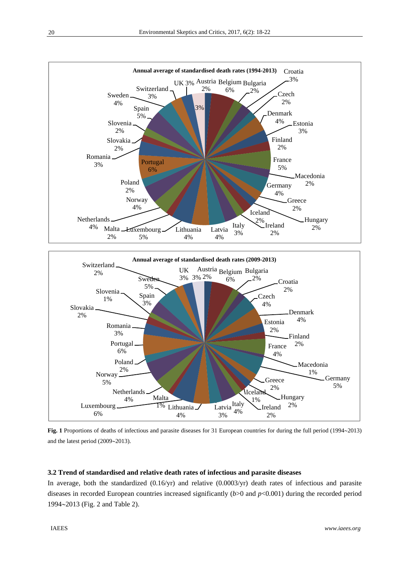

Fig. 1 Proportions of deaths of infectious and parasite diseases for 31 European countries for during the full period (1994~2013) and the latest period  $(2009~2013)$ .

# **3.2 Trend of standardised and relative death rates of infectious and parasite diseases**

In average, both the standardized  $(0.16/\text{yr})$  and relative  $(0.0003/\text{yr})$  death rates of infectious and parasite diseases in recorded European countries increased significantly (*b*>0 and *p*<0.001) during the recorded period 19942013 (Fig. 2 and Table 2).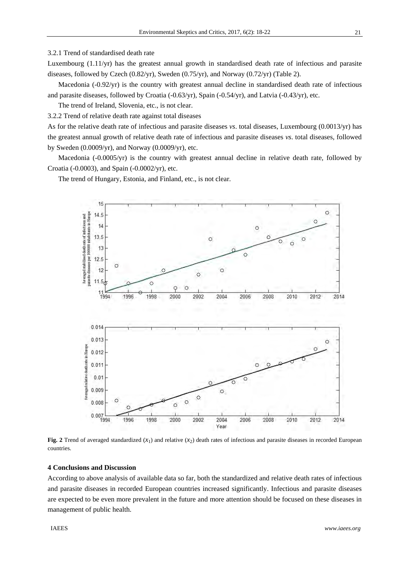## 3.2.1 Trend of standardised death rate

Luxembourg  $(1.11/\text{yr})$  has the greatest annual growth in standardised death rate of infectious and parasite diseases, followed by Czech  $(0.82/yr)$ , Sweden  $(0.75/yr)$ , and Norway  $(0.72/yr)$  (Table 2).

Macedonia (-0.92/yr) is the country with greatest annual decline in standardised death rate of infectious and parasite diseases, followed by Croatia (-0.63/yr), Spain (-0.54/yr), and Latvia (-0.43/yr), etc.

The trend of Ireland, Slovenia, etc., is not clear.

3.2.2 Trend of relative death rate against total diseases

As for the relative death rate of infectious and parasite diseases vs. total diseases, Luxembourg (0.0013/yr) has the greatest annual growth of relative death rate of infectious and parasite diseases vs. total diseases, followed by Sweden  $(0.0009/\text{yr})$ , and Norway  $(0.0009/\text{yr})$ , etc.

Macedonia (-0.0005/yr) is the country with greatest annual decline in relative death rate, followed by Croatia (-0.0003), and Spain (-0.0002/yr), etc.

The trend of Hungary, Estonia, and Finland, etc., is not clear.



Fig. 2 Trend of averaged standardized  $(x_1)$  and relative  $(x_2)$  death rates of infectious and parasite diseases in recorded European countries.

#### **4 Conclusions and Discussion**

According to above analysis of available data so far, both the standardized and relative death rates of infectious and parasite diseases in recorded European countries increased significantly. Infectious and parasite diseases are expected to be even more prevalent in the future and more attention should be focused on these diseases in management of public health.